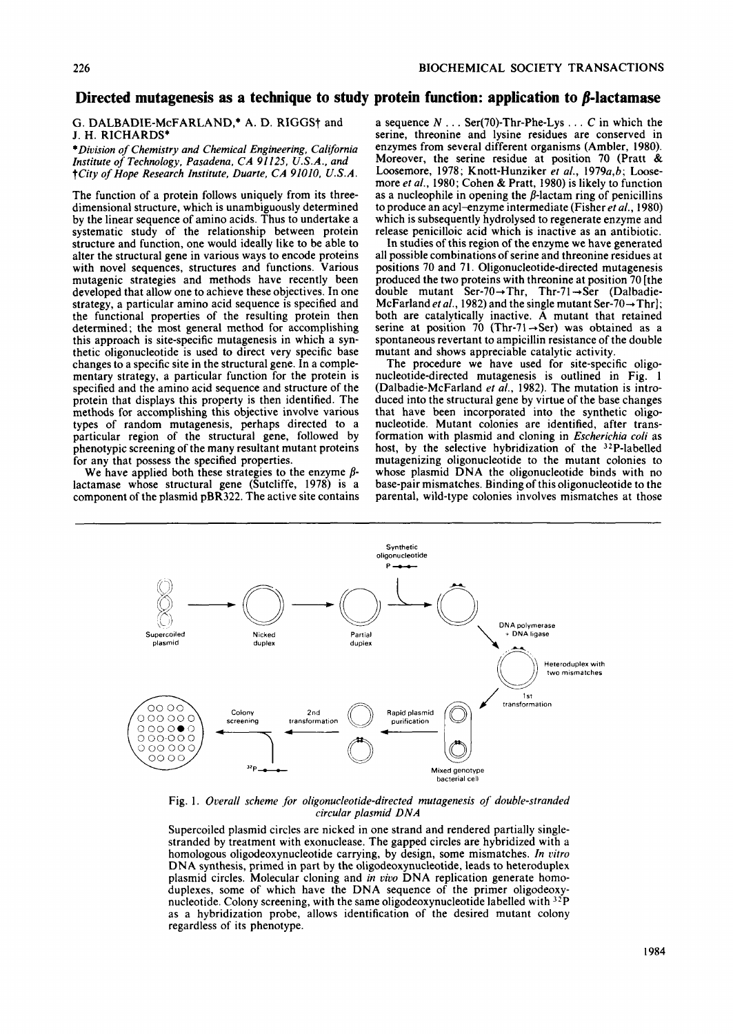# Directed mutagenesis as a technique to study protein function: application to  $\beta$ -lactamase

## G. DALBADIE-McFARLAND,\* A. D. RIGGS† and J. H. RICHARDS\*

*\*Division of Chemistry and Chemical Engineering, California Institute of Technology. Pasadena, CA 91125, U.S.A.. and*  f *City of Hope Research Institute, Duarte, CA 91010, U.S.A.* 

The function of a protein follows uniquely from its threedimensional structure, which is unambiguously determined by the linear sequence of amino acids. Thus to undertake a systematic study of the relationship between protein structure and function, one would ideally like to be able to alter the structural gene in various ways to encode proteins with novel sequences, structures and functions. Various mutagenic strategies and methods have recently been developed that allow one to achieve these objectives. In one strategy, a particular amino acid sequence is specified and the functional properties of the resulting protein then determined; the most general method for accomplishing this approach is site-specific mutagenesis in which a synthetic oligonucleotide is used to direct very specific base changes to a specific site in the structural gene. In a complementary strategy, a particular function for the protein is specified and the amino acid sequence and structure of the protein that displays this property is then identified. The methods for accomplishing this objective involve various types of random mutagenesis, perhaps directed to a particular region of the structural gene, followed by phenotypic screening of the many resultant mutant proteins for any that possess the specified properties.

We have applied both these strategies to the enzyme *b*lactamase whose structural gene (Sutcliffe, 1978) is a component of the plasmid pBR322. The active site contains

a sequence  $N \ldots$  Ser(70)-Thr-Phe-Lys  $\ldots$  C in which the serine, threonine and lysine residues are conserved in enzymes from several different organisms (Ambler, 1980). Moreover, the serine residue at position 70 (Pratt & Loosemore, 1978; Knott-Hunziker *et al.,* 1979a,b; Loosemore *et al.,* 1980; Cohen & Pratt, 1980) is likely to function as a nucleophile in opening the  $\beta$ -lactam ring of penicillins to produce an acyl-enzyme intermediate (Fisher *et al.,* 1980) which is subsequently hydrolysed to regenerate enzyme and release penicilloic acid which is inactive as an antibiotic.

In studies of this region of the enzyme we have generated all possible combinations of serine and threonine residues at positions 70 and 71. Oligonucleotide-directed mutagenesis produced the two proteins with threonine at position 70 [the double mutant Ser-70 $\rightarrow$ Thr, Thr-71 $\rightarrow$ Ser (Dalbadie-McFarland *et al.*, 1982) and the single mutant Ser-70 $\rightarrow$ Thr]; both are catalytically inactive. A mutant that retained serine at position 70 (Thr-71 $\rightarrow$ Ser) was obtained as a spontaneous revertant to ampicillin resistance of the double mutant and shows appreciable catalytic activity.

The procedure we have used for site-specific oligonucleotide-directed mutagenesis is outlined in Fig. **<sup>1</sup>** (Dalbadie-McFarland *et al.,* 1982). The mutation is introduced into the structural gene by virtue of the base changes that have been incorporated into the synthetic oligonucleotide. Mutant colonies are identified, after transformation with plasmid and cloning in *Escherichia coli* as host, by the selective hybridization of the 32P-labelled mutagenizing oligonucleotide to the mutant colonies to whose plasmid DNA the oligonucleotide binds with no base-pair mismatches. Binding of this oligonucleotide to the parental, wild-type colonies involves mismatches at those



Fig. 1. *Overall scheme for oligonucleotide-directed mutagenesis of double-stranded circular plasmid DNA* 

Supercoiled plasmid circles are nicked in one strand and rendered partially singlestranded by treatment with exonuclease. The gapped circles are hybridized with a homologous oligodeoxynucleotide carrying, by design, some mismatches. *In vitro*  DNA synthesis, primed in part by the oligodeoxynucleotide, leads to heteroduplex plasmid circles. Molecular cloning and *in oivo* DNA replication generate homoduplexes, some of which have the DNA sequence of the primer oligodeoxynucleotide. Colony screening, with the same oligodeoxynucleotide labelled with **32P**  as a hybridization probe, allows identification of the desired mutant colony regardless of its phenotype.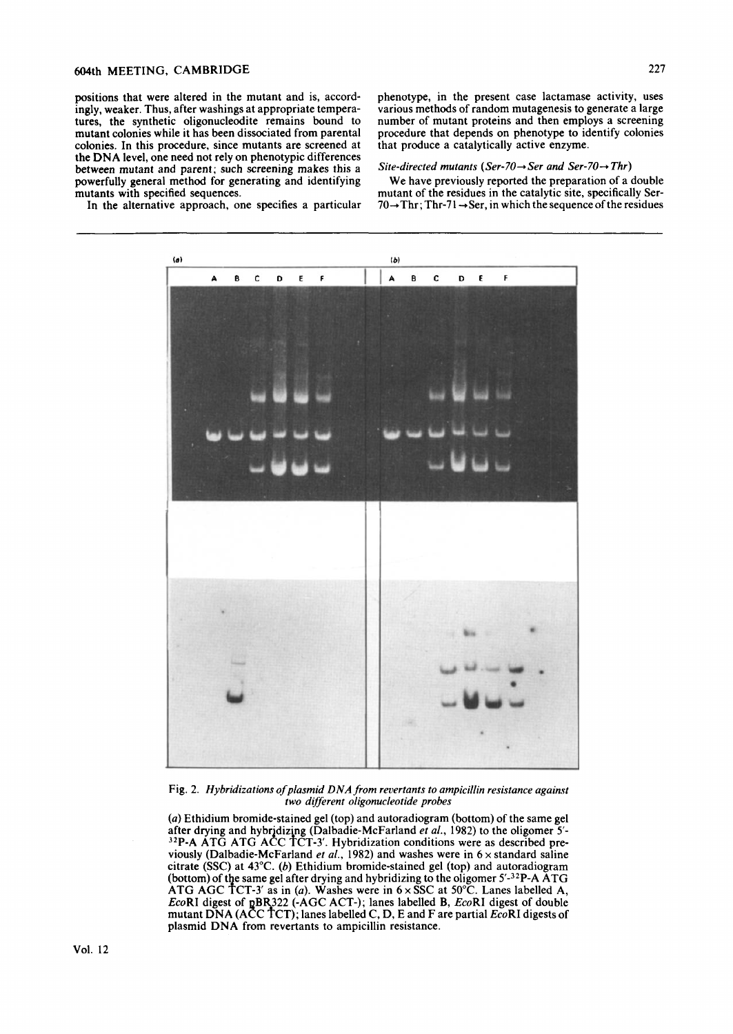# 604th MEETING, CAMBRIDGE 227

positions that were altered in the mutant and is, accordingly, weaker. Thus, after washings at appropriate temperatures, the synthetic oligonucleodite remains bound to mutant colonies while it has been dissociated from parental colonies. In this procedure, since mutants are screened at the DNA level, one need not rely on phenotypic differences between mutant and parent; such screening makes this a powerfully general method for generating and identifying mutants with specified sequences.

In the alternative approach, one specifies a particular

phenotype, in the present case lactamase activity, uses various methods of random mutagenesis to generate a large number of mutant proteins and then employs a screening procedure that depends on phenotype to identify colonies that produce a catalytically active enzyme.

### Site-directed mutants (Ser-70 $\rightarrow$ Ser and Ser-70 $\rightarrow$ Thr)

We have previously reported the preparation of a double mutant of the residues in the catalytic site, specifically Ser- $70 \rightarrow$ Thr; Thr-71  $\rightarrow$  Ser, in which the sequence of the residues



Fig. 2. *Hybridizations of plasmid DNA from revertants to ampicillin resistance against two different oligonucleotide probes* 

*(a)* Ethidium bromide-stained gel (top) and autoradiogram (bottom) of the same gel after drying and hybridizing (Dalbadie-McFarland *et al.*, 1982) to the oligomer 5'viously (Dalbadie-McFarland  $et$   $al., 1982$ ) and washes were in  $6 \times$  standard saline citrate (SSC) at 43°C. *(b)* Ethidium bromide-stained gel (top) and autoradiogram (bottom) of the same gel after drying and hybridizing to the oligomer  $5'$ -3<sup>2</sup>P-A ATG *EcoRI* digest of pBR322 (-AGC ACT-); lanes labelled B, *EcoRI* digest of double mutant DNA (ACC TCT); lanes labelled C, D, E and F are partial *EcoRI* digests of plasmid DNA from revertants to ampicillin resistance.  $32P-A$  ATG ATG ACC TCT-3'. Hybridization conditions were as described pre-ATG AGC TCT-3' as in (a). Washes were in  $6 \times$  SSC at 50°C. Lanes labelled A,